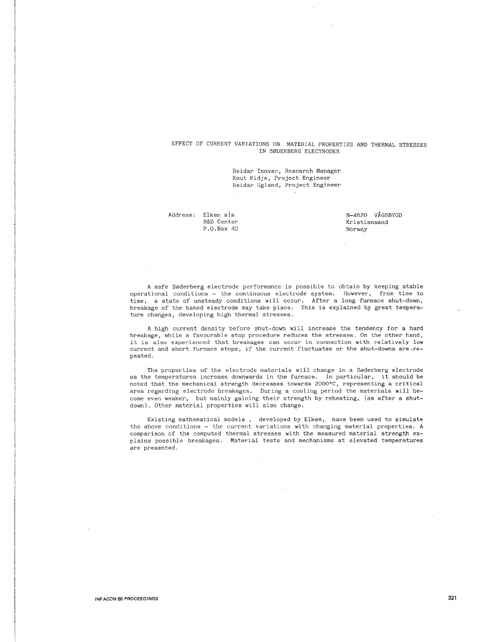# EFFECT OF CURRENT VARIATIONS ON MATERIAL PROPERTIES AND THERMAL STRESSES IN S0DERBERG ELECTRODES

Reidar Innvær, Research Manager Knut Fidje, Project Engineer Reidar Ugland, Project Engineer

Address: Elkem a|s R&D Center P.O.Box 40 N-4620 VAGSBYGD Kristiansand Norway

A safe S0derberg electrode performance is possible to obtain by keeping stable operational conditions - the continuous electrode system. However, from time to time, a state of unsteady conditions will occur. After a long furnace shut-down, breakage of the baked electrode may take place. This is explained by great temperature changes, developing high thermal stresses.

A high current density before shut-down will increase the tendency for a hard breakage, while a favourable stop procedure reduces the stresses. On the other hand, it is also experienced that breakages can occur in connection with relatively low current and short furnace stops, if the current fluctuates or the shut-downs are.repeated.

The properties of the electrode materials will change in a Søderberg electrode as the temperatures increase downwards in the furnace. In particular, it should be noted that the mechanical strength decreases towards 2000°C, representing a critical area regarding electrode breakages. During a cooling period the materials will become even weaker, but mainly gaining their strength by reheating, (as after a shutdown). Other material properties will also change.

Existing mathematical models , developed by Elkem, have been used to simulate the above conditions - the current variations with changing material properties. A comparison of the computed thermal stresses with the measured material strength explains possible breakages. Material tests and mechanisms at elevated temperatures are presented.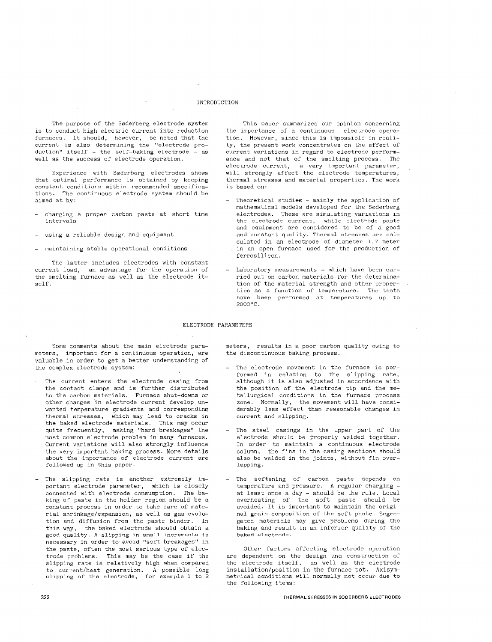## INTRODUCTION

The purpose of the Søderberg electrode system is to conduct high electric current into reduction furnaces. It should, however, be noted that the current is also determining the "electrode pro $duction"$  itself - the self-baking electrode - as well as the success of electrode operation.

Experience with Søderberg electrodes shows that optimal performance is obtained by keeping **constant conditions within recommended specifica**tions. The continuous electrode system should be aimed at by:

- charging a proper carbon paste at short time **intervals**
- using a reliable design and equipment
- maintaining stable operational conditions

The latter includes electrodes with constant current load, an advantage for the operation of the smelting furnace as well as the electrode itself.

**This paper summarizes our opinion concerning**  the importance of a continuous electrode operation. However, since this is impossible in reality, the present work concentrates on the effect of **current variations in regard to electrode perform**ance and not that of the smelting process. The **electrode current, a very important parameter,**  will strongly affect the electrode temperatures, thermal stresses and material properties. The work is based on:

- Theoretical studies mainly the application of mathematical models developed for the Søderberg electrodes. These are simulating variations in **the electrode current, while electrode paste**  and equipment are considered to be of a good and constant quality. Thermal stresses are calculated in an electrode of diameter 1.7 meter in an open furnace used for the production of ferrosilicon.
- Laboratory measurements which have been carried out on carbon materials for the determination of the material strength and other properties as a function of temperature. The tests **have been performed at temperatures up to**  2000°c.

ELECTRODE PARAMETERS

Some comments about the main electrode parameters, important for a continuous operation, are valuable in order to get a better understanding of the complex electrode system:

- The current enters the electrode casing from the contact clamps and is further distributed to the carbon materials. Furnace shut-downs or other changes in electrode current develop unwanted temperature gradients and corresponding **thermal stresses, which may lead to cracks in**  the baked electrode materials. This may occur quite frequently, making "hard breakages" the most common electrode problem in many furnaces. Current variations will also strongly influence the very important baking process. More details **about the importance of electrode current are**  followed up in this paper.
- The slipping rate is another extremely important electrode parameter, which is closely connected with electrode consumption. The baking of paste in the holder region should be a constant process in order to take care of material shrinkage/expansion, as well as gas evolution and diffusion from the paste binder. In this way, the baked electrode should obtain a **good tjuality. A slipping in small increments is**  necessary in order to avoid "soft breakages" in the paste, often the most serious type of electrode problems. This may be the case if the slipping rate is relatively high when compared to current/heat generation. A possible long **slipping of the electrode, for example 1 to 2**

**meters, results in a poor carbon quality owing to**  the discontinuous baking process.

- The electrode movement in the furnace is performed in relation to the slipping rate, although it is also adjusted in accordance with the position of the electrode tip and the metallurgical conditions in the furnace process **zone. Normally, the movement will have consi**derably less effect than reasonable changes in **current and slipping.**
- The steel casings in the upper part of the electrode should be properly welded together. In order to maintain a continuous electrode column, the fins in the casing sections should **also be welded in the joints, without fin over**lapping.
- The softening of carbon paste depends on temperature and pressure. A regular charging at least once a day - should be the rule. Local overheating of the soft paste should be avoided. It is important to maintain the original grain composition of the soft paste. Segregated materials may give problems during the baking and result in an inferior quality of the **baked electrode.**

Other factors affecting electrode operation are dependent on the design and construction of the electrode itself, as well as the electrode installation/position in the furnace pot. Axisym**metrical conditions will normally not occur due to**  the following items: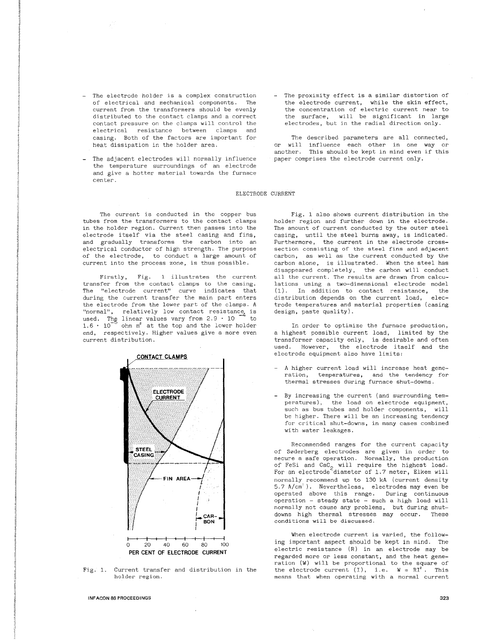- The electrode holder is a complex construction of electrical and mechanical components. The current from the transformers should be evenly distributed to the contact clamps and a correct contact pressure on the clamps will control the electrical resistance between clamps and casing. Both of the factors are important for heat dissipation in the holder area.
- The adjacent electrodes will normally influence the temperature surroundings of an electrode and give a hotter material towards the furnace center.
- The current is conducted in the copper bus tubes from the transformers to the contact clamps in the holder region. Current then passes into the electrode itself via the steel casing and fins, and gradually transforms the carbon into an electrical conductor of high strength. The purpose of the electrode, to conduct a large amount of current into the process zone, is thus possible.

Firstly, Fig. 1 illustrates the current **transfer from the contact clamps to the casing.**  The "electrode current" curve indicates that during the current transfer the main part enters the electrode from the lower part of the clamps. A "normal", relatively low contact resistance is used. The linear values vary from  $2.9 \cdot 10^{-4}$  to used. The linear values vary from  $2.9 \cdot 10$ <br>1.6  $\cdot$  10<sup>-5</sup> ohm m<sup>2</sup> at the top and the lower h ohm m<sup>2</sup> at the top and the lower holder end, respectively. Higher values give a more even current distribution.



Fig. 1. Current transfer and distribution in the **holder region.** 

INFACON 86 PROCEEDINGS

The proximity effect is a similar distortion of the electrode current, while the skin effect, **the concentration of electric current near to**  the surface, will be significant in large electrodes, but in the radial direction only.

The described parameters are all connected, or will influence each other in **one way or**  another. This should be kept in mind even if this paper comprises the electrode current only.

## ELECTRODE CURRENT

Fig. 1 also shows current distribution in the holder region and further down in the electrode. The amount of current conducted by the outer steel casing, until the steel burns away, is indicated. Furthermore, the current in the electrode cross**section consisting of the steel fins and adjacent**  carbon, as well as the current conducted by the carbon alone, is illustrated. When the steel has disappeared completely, the carbon will conduct all the current. The results are drawn from calcu**lations using a two-dimensional electrode model**   $(1)$ . In addition to contact resistance, the distribution depends on the current load. elecdistribution depends on the current load, trode temperatures and material properties (casing design, paste quality).

In order to optimize the furnace production, a highest possible current load, limited by the transformer capacity only, is desirable and often used. However, the electrode itself and the electrode equipment also have limits:

- A higher current load will increase heat gene**ration, temperatures, and the tendency for**  thermal stresses during furnace shut-downs.
- By increasing the current (and surrounding tem**peratures), the load on electrode equipment,**  such as bus tubes and holder components, will be higher. There will be an increasing tendency for critical shut-downs, in many cases combined with water leakages.

Recommended ranges for the current capacity of S0derberg electrodes are given in order to  $secure$  a safe operation. Normally, the production of FeSi and CaC<sub>2</sub> will require the highest load.<br>For an electrode diameter of 1.7 meter, Elkem will normally recommend up to 130 kA (current density 5.7 A/cm'). Nevertheless, electrodes may even be operated above this range. During continuous operation - steady state - such a high load will normally not cause any problems, but during shutdowns high thermal stresses may occur. These **conditions will be discussed.** 

When electrode current is varied, the following important aspect should be kept in mind. The electric resistance (R) in an electrode may be regarded more or less constant, and the heat generation (W) will be proportional to the square of the electrode current  $(I)$ , i.e.  $W = RI^2$ . This **means that when operating with a normal current**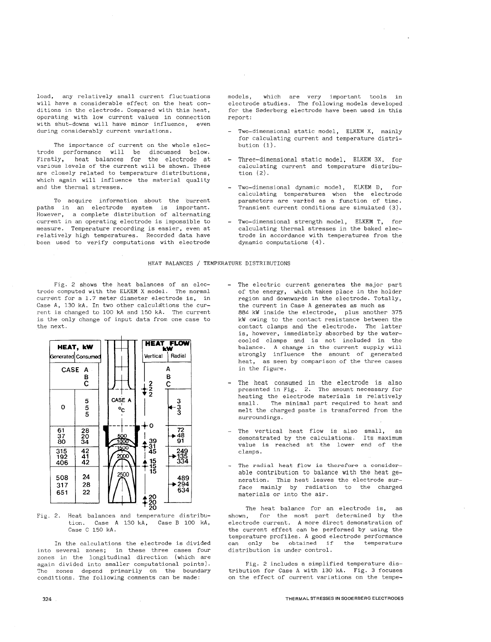**load, any relatively small current fluctuations**  will have a considerable effect on the heat conditions in the electrode. Compared with this heat, operating with low current values in connection with shut-downs will have minor influence, even **during considerably current variations.** 

The importance of current on the whole electrode performance will be discussed below. Firstly, heat balances for the electrode at various levels of the current will be shown. These are closely related to temperature distributions, which again will influence the material quality and the thermal stresses.

To acquire information about the current paths in an electrode system is important. However, a complete distribution of alternating current in an operating electrode is impossible to measure. Temperature recording is easier, even at relatively high temperatures. Recorded data have been used to verify computations with electrode

models, which are very important tools in electrode studies. The following models developed for the S0derberg electrode have been used in this report:

- Two-dimensional static model, ELKEM X, mainly for calculating current and temperature distribution (1).
- Three-dimensional static model, ELKEM 3X, for calculating current and temperature distribution (2).
- Two-dimensional dynamic model, ELKEM D, for calculating temperatures when the electrode **parameters are varied as a function of time.**  .<br>Transient current conditions are simulated (3).
- Two-dimensional strength model, ELKEM T, for calculating thermal stresses in the baked electrode in accordance with temperatures from the dynamic computations (4).

### HEAT BALANCES / TEMPERATURE DISTRIBUTIONS

Fig. 2 shows the heat balances of an electrode computed with the ELKEM X model. The normal current for a 1.7 meter diameter electrode is, in Case A, 130 kA. In two other calculations the current is changed to 100 kA and 150 kA. The current is the only change of input data from one case to the next.



Fig. 2. Heat balances and temperature distribution. Case A 130 kA, Case B 100 kA, Case C 150 kA.

In the calculations the electrode is divided into several zones; in these three cases four zones in the longitudinal direction (which are again divided into smaller computational points). The zones depend primarily on the boundary conditions. The following comments can be made:

- The electric current generates the major part of the energy, which takes place in the holder region and downwards in the electrode. Totally, the current in Case A generates as much as 884 kW inside the electrode, plus another 375 kW owing to the contact resistance between the contact clamps and the electrode. The latter is, however, immediately absorbed by the watercooled clamps and is not included in the **balance.** A change in the current supply will strongly influence the amount of generated heat, as seen by comparison of the three cases in the figure.
- The heat consumed in the electrode is also presented in Fig. 2. The amount necessary for heating the electrode materials is relatively<br>small. The minimal part required to heat and The minimal part required to heat and melt the charged paste is transferred from the **surroundings.**
- The vertical heat flow is also small, as demonstrated by the calculations. Its maximum value is reached at the lower end of the clamps.
- **The radial heat flow is therefore a consider**able contribution to balance with the heat generation. This heat leaves the electrode surface mainly by radiation to the charged materials or into the air.

The heat balance for an electrode **is,**  as shown, for the most part determined by the **electrode current. A more direct demonstration of**  the current effect can be performed by using the temperature profiles. A good electrode performance<br>can only be obtained if the temperature can only be obtained if distribution is under control.

Fig. 2 includes a simplified temperature distribution for Case A with 130 kA. Fig. 3 focuses on the effect of current variations on the tempe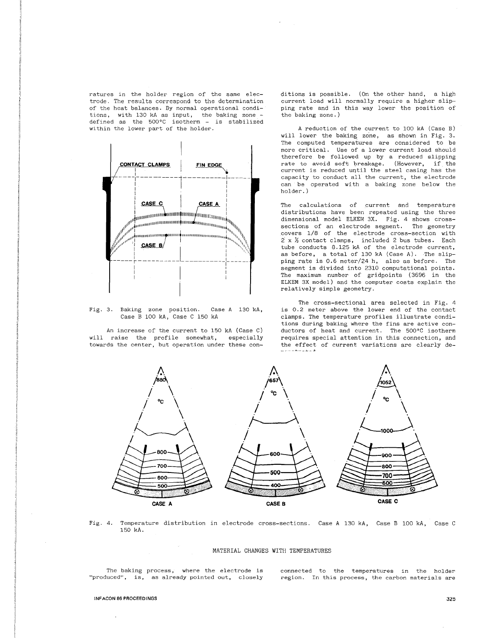ratures in the holder region of the same electrode. The results correspond to the determination of the heat balances. By normal operational conditions, with 130 kA as input, the baking zone - defined as the 500°C isotherm - is stabilized within the lower part of the holder.



Fig. 3. Baking zone position. Case A 130 kA, Case B 100 kA, Case C 150 kA

An increase of the current to 150 kA (Case C) will raise the profile somewhat, especially towards the center, but operation under these conditions is possible. (On the other hand, a high current load will normally require a higher slipping rate and in this way lower the position of the baking zone.)

A reduction of the current to 100 kA (Case B) will lower the baking zone, as shown in Fig. 3. The computed temperatures are considered to be more critical. Use of a lower current load should therefore be followed up by a reduced slipping rate to avoid soft breakage. (However, if the current is reduced until the steel casing has the capacity to conduct all the current, the electrode can be operated with a baking zone below the holder.)

The calculations of current and temperature distributions have been repeated using the three dimensional model ELKEM 3X. Fig. 4 shows crosssections of an electrode segment. The geometry covers 1/8 of the electrode cross-section with 2 x *Y,* contact clamps, included 2 bus tubes. Each tube conducts 8.125 kA of the electrode current, as before, a total of 130 kA (Case A). The slipping rate is 0.6 meter/24 h, also as before. The segment is divided into 2310 computational points. The maximum number of gridpoints (3696 in the ELKEM 3X model) and the computer costs explain the relatively simple geometry.

The cross-sectional area selected in Fig. 4 is 0.2 meter above the lower end of the contact clamps. The temperature profiles illustrate conditions during baking where the fins are active conductors of heat and current. The 500°C isotherm requires special attention in this connection, and the effect of current variations are clearly de-



Fig. 4. Temperature distribution in electrode cross-sections. Case A 130 kA, Case B 100 kA, Case C 150 kA.

#### MATERIAL CHANGES WITH TEMPERATURES

The baking process, where the electrode is **"produced", is, as already pointed out, closely** 

connected to the temperatures in the holder **region. In this process, the carbon materials are** 

#### **\NFACON 86 PROCEEDINGS**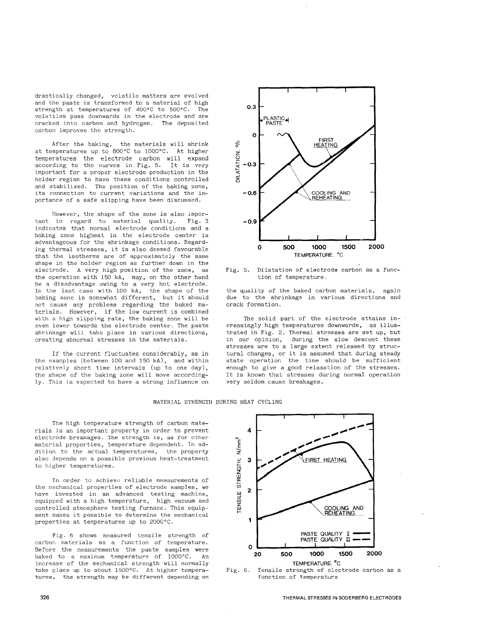drastically changed, volatile matters are evolved and the paste is transformed to a material of high strength at temperatures of 400°C to 500°C. The volatiles pass downwards in the electrode and are cracked into carbon and hydrogen. The deposited carbon improves the strength.

After the baking, the materials will shrink at temperatures up to 800°C to 1000°C. At higher temperatures the electrode carbon will expand according to the curves in Fig. 5. It is very important for a proper electrode production in the holder region to have these conditions controlled and stabilized. The position of the baking zone, its connection to current variations and the importance of a safe slipping have been discussed.

However, the shape of the zone is also important in regard to material quality. Fig. 3 indicates that normal electrode conditions and a baking zone highest in the electrode center is advantageous for the shrinkage conditions. Regarding thermal stresses, it is also deemed favourable that the isotherms are of approximately the same shape in the holder region as further down in the electrode. A very high position of the zone, as the operation with 150 kA, may, on the other hand be a disadvantage owing to a very hot electrode. In the last case with 100 kA, the shape of the baking zone is somewhat different, but it should not cause any problems regarding the baked materials. However, if the low current is combined with a high slipping rate, the baking zone will be even lower towards the electrode center. The paste shrinkage will take place in various directions, creating abnormal stresses in the materials.

If the current fluctuates considerably, as in the examples (between 100 and 150 kA), and within relatively short time intervals (up to one day), the shape of the baking zone will move accordingly. This is expected to have a strong influence on



Fig. 5. Dilatation of electrode carbon as a function of temperature.

the quality of the baked carbon materials, again due to the shrinkage in various directions and crack formation.

The solid part of the electrode attains increasingly high temperatures downwards, as illustrated in Fig. 2. Thermal stresses are set up, but in our opinion, during the slow descent these stresses are to a large extent released by structural changes, or it is assumed that during steady state operation the time should be sufficient enough to give a good relaxation of the stresses. It is known that stresses during normal operation very seldom cause breakages.

### MATERIAL STRENGTH DURING HEAT CYCLING

The high temperature strength of carbon materials is an important property in order to prevent electrode breakages. The strength is, as for other material properties, temperature dependent. In addition to the actual temperatures, the property also depends on a possible previous heat-treatment to higher temperatures.

In order to achieve reliable measurements of the mechanical properties of electrode samples, we have invested in an advanced testing machine, equipped with a high temperature, high vacuum and controlled atmosphere testing furnace. This equipment makes it possible to determine the mechanical properties at temperatures up to 2000°C.

Fig. 6 shows measured tensile strength of carbon materials as a function of temperature. Before the measurements the paste samples were baked to a maximum temperature of 1000°C. An increase of the mechanical strength will normally take place up to about 1500°C. At higher temperatures, the strength may be different depending on





THERMAL STRESSES IN SODERBERG ELECTRODES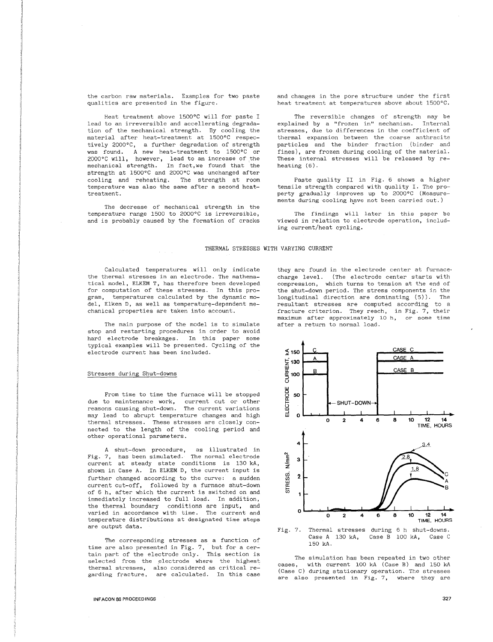the carbon raw materials. Examples for two paste qualities are presented in the figure.

Heat treatment above 1500°C will for paste I lead to an irreversible and accellerating degradation of the mechanical strength. By cooling the material after heat-treatment at 1500°C respectively 2000°C, a further degradation of strength was found. A new heat-treatment to 1500°C or 2000°C will, however, lead to an increase of the mechanical strength. In fact, we found that the strength at 1500°C and 2000°C was unchanged after cooling and reheating. The strength at room temperature was also the same after a second heattreatment.

The decrease of mechanical strength in the temperature range 1500 to 2000°C is irreversible, and is probably caused by the formation of cracks

and changes in the pore structure under the first heat treatment at temperatures above about 1500°C.

The reversible changes of strength may be<br>ained by a "frozen in" mechanism. Internal explained by a "frozen in" mechanism. stresses, due to differences in the coefficient of thermal expansion between the coarse anthracite particles and the binder fraction (binder and .<br>fines), are frozen during cooling of the material. These internal stresses will be released by reheating (6).

Paste quality II in Fig. 6 shows a higher tensile strength compared with quality I. The property gradually improves up to 2000°C (Measurements during cooling have not been carried out.)

The findings will later in this paper be viewed in relation to electrode **operation, includ**ing current/heat cycling.

## THERMAL STRESSES WITH VARYING CURRENT

Calculated temperatures will only indicate the thermal stresses in an electrode. The mathematical model, ELKEM T, has therefore been developed for computation of these stresses. In this program, temperatures calculated by the dynamic model, Elkem D, as well as temperature-dependent mechanical properties are taken into account.

The main purpose of the model is to simulate stop and restarting procedures in order to avoid hard electrode breakages. In this paper some typical examples will be presented. Cycling of the electrode current has been included.

## Stresses during Shut-downs

From time to time the furnace will be stopped due to maintenance work, current cut or other **reasons causing shut-down. The current variations**  may lead to abrupt temperature changes and high thermal stresses. These stresses are closely connected to the length of the cooling period and other operational parameters.

A shut-down procedure, as illustrated in Fig. 7, has been simulated. The normal electrode current at steady state conditions is 130 kA, shown in Case A. In ELKEM D, the current input is further changed according to the curve: a sudden current cut-off, followed by a furnace shut-down of 6 h, after which the current is switched on and immediately increased to full load. In addition, the thermal boundary conditions are input, and **varied in accordance with time. The current and**  temperature distributions at designated time steps are output data.

The corresponding stresses as a function of time are also presented in Fig. 7, but for a certain part of the electrode only. This section is selected from the electrode where the highest **thermal stresses, garding fracture, also considered as critical re**are calculated. In this case they are found in the electrode center at furnace· charge level. (The electrode center starts with compression, which turns to tension at the end of the shut-down period. The stress components in the longitudinal direction are dominating (5)). The resultant stresses are computed according to a fracture criterion. They reach, in Fig. 7, their **maximum after approximately 10 h, or some time**  after a return to normal load.





The simulation has been repeated in two other<br>reses. with current 100 kA (Case B) and 150 kA with current 100 kA (Case B) and 150 kA (Case C) during stationary operation. The stresses **are also presented in Fig. 7, where they are**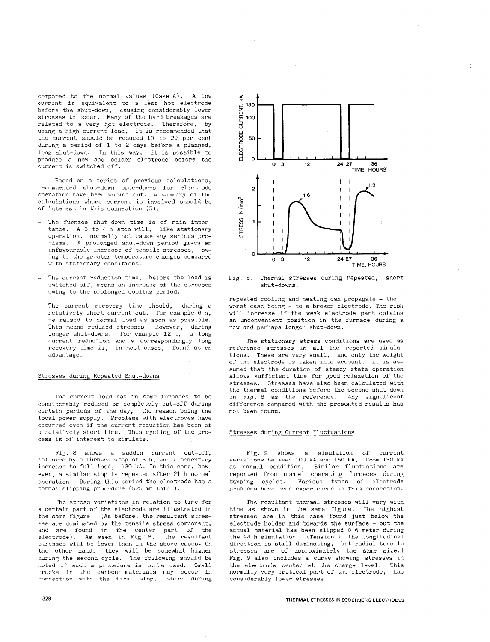compared to the normal values (Case A) . A low current is equivalent to a less hot electrode before the shut-down, causing considerably lower stresses to occur. Many *of* the hard breakages are related to a very hot electrode. Therefore, by using a high current load, it is recommended that the current should be reduced 10 to 20 per cent during a period of 1 to 2 days before a planned, long shut-down. In this way, it is possible to produce a new and colder electrode before the .<br>current is switched off.

Based on a series of previous calculations, recommended shut-down procedures for electrode operation have been worked out. A summary of the calculations where current is involved should be of interest in this connection (5):

- The furnace shut-down time is of main importance. A 3 to 4 h stop will, like stationary operation, normally not cause any serious problems. A prolonged shut-down period gives an unfavourable increase of tensile stresses, owing to the greater temperature changes compared with stationary conditions.
- The current reduction time, before the load is switched off, means an increase of the stresses owing to the prolonged cooling period.
- The current recovery time should, during a relatively short current cut, for example 6 h, be raised to normal load as soon as possible. This means reduced stresses. However, during longer shut-downs, for example 12 h, a long current reduction and a correspondingly long recovery time is, in most cases, found as an advantage.

## Stresses during Repeated Shut-downs

The current load has in some furnaces to be considerably reduced or completely cut-off during certain periods of the day, the reason being the local power supply. Problems with electrodes have occurred even if the current reduction has been of a relatively short time. This cycling of the process is of interest to simulate.

Fig. 8 shows a sudden current cut-off, followed by a furnace stop of 3 h, and a momentary increase to full load, 130 kA. In this case, however, a similar stop is repeated after 21 h normal operation. During this period the electrode has a normal slipping procedure (525 mm total).

The stress variations in relation to time for a certain part of the electrode are illustrated in the same figure. (As before, the resultant stresses are dominated by the tensile stress component, and are found in the center part of the<br>electrode). As seen in Fig. 8, the resultant electrode). As seen in Fig. 8, stresses will be lower than in the above cases. On the other hand, they will be somewhat higher during the second cycle. The following should be noted if such a procedure is to be used: Small cracks in the carbon materials may occur in connection with the first stop, which during



Fig. 8. Thermal stresses during repeated, short shut-downs.

repeated cooling and heating can propagate - the worst case being - to a broken electrode. The risk will increase if the weak electrode part obtains an unconvenient position in the furnace during a new and perhaps longer shut-down.

The stationary stress conditions are used as reference stresses in all the reported simulations. These are very small, and only the weight of the electroge is taken into account. It is assumed that the duration of steady state operation allows sufficient time for good relaxation of the stresses. Stresses have also been calculated with the thermal conditions before the second shut down in Fig. 8 as the reference. Any significant difference compared with the presented results has not been found.

### Stresses during Current Fluctuations

Fig. 9 shows a simulation of current variations between 100 kA and 150 kA, from 130 kA as normal condition. Similar fluctuations are reported from normal operating furnaces during tapping cycles. Various types of electrode problems have been experienced in this connection.

The resultant thermal stresses will vary with time as shown in the same figure. The highest stresses are in this case found just below the electrode holder and towards the surface - but the actual material has been slipped 0.6 meter during the 24 h simulation. (Tension in the longitudinal direction is still dominating, but radial tensile stresses are of approximately the same size.) Fig. 9 also includes a curve showing stresses in the electrode center at the charge level. This normally very critical part of the electrode, has considerably lower stresses.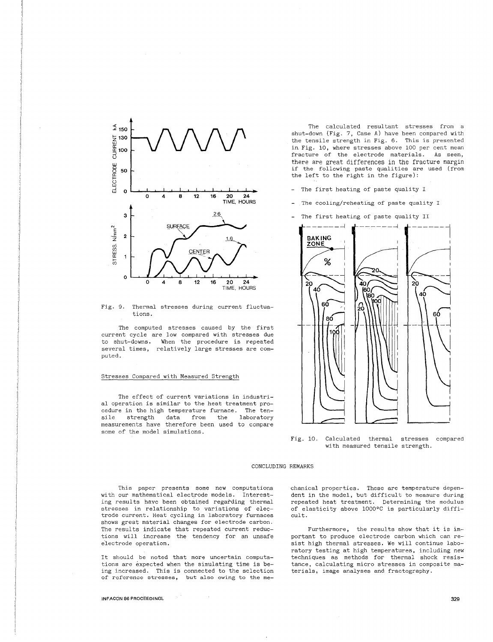

Fig. 9. Thermal **stresses** during **current** fluctuations.

The computed stresses caused by the first current cycle are low compared with stresses due to shut-downs. When the procedure is repeated several times, relatively large stresses are computed.

### Stresses Compared with Measured Strength

The effect of current variations in industrial operation is similar to the heat treatment procedure in the high temperature furnace. The tensile strength data from the laboratory measurements have therefore been used to compare some of the model simulations.

The calculated resultant stresses from a shut-down (Fig. 7, Case A) have been compared with the tensile strength in Fig. 6. This is presented in. Fig. 10, where stresses above 100 per cent mean fracture of the electrode materials. As seen, there are great differences in the fracture margin if the following paste qualities are used (from the left to the right in the figure):

- The first heating of paste quality I
- The cooling/reheating of paste quality I
- The first heating of paste quality II



Fig. 10. Calculated thermal stresses compared with measured tensile strength.

## CONCLUDING REMARKS

This paper presents some new computations with our mathematical electrode models. Interesting results have been obtained regarding thermal stresses in relationship to variations of electrode current. Heat cycling in laboratory furnaces shows great material changes for electrode carbon. The results indicate that repeated current reductions will increase the tendency for an unsafe electrode operation.

It should be noted that more uncertain computations are expected when the simulating time is being increased. This is connected to the selection of reference stresses, but also owing to the mechanical properties. These are temperature dependent in the model, but difficult to measure during repeated heat treatment. Determining the modulus of elasticity above 1000°C is particularly difficult.

Furthermore, the results show that it is important to produce electrode carbon which can resist high thermal stresses. We will continue laboratory testing at high temperatures, including new techniques as methods for thermal shock resistance, calculating micro stresses in composite materials, image analyses and fractography.